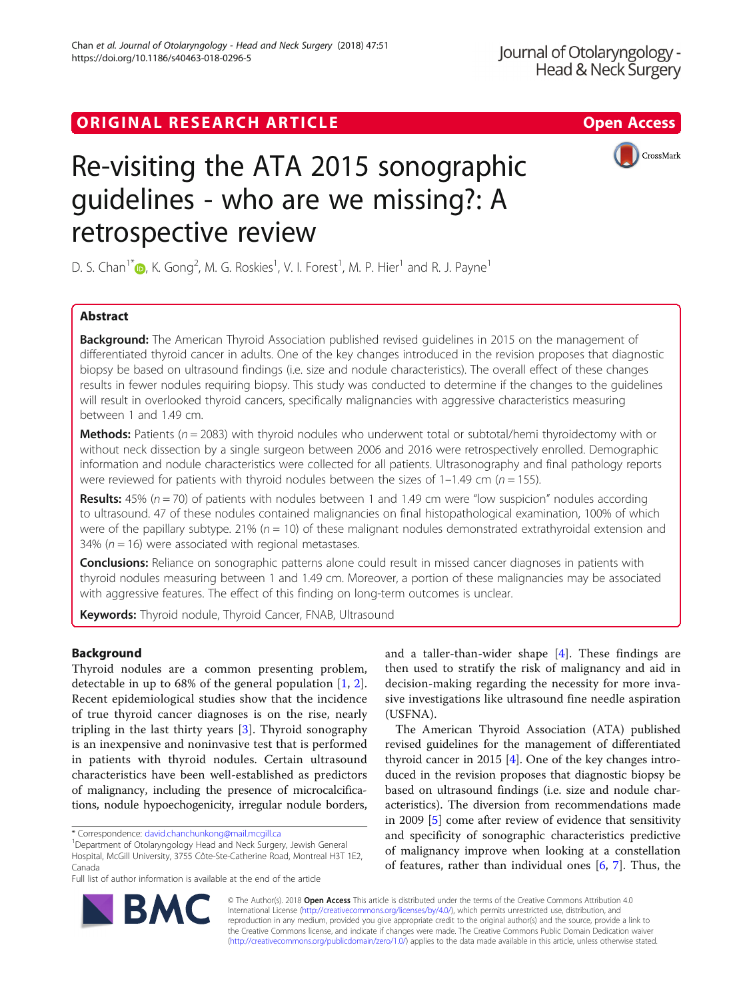## ORIGINAL RESEARCH ARTICLE **Example 20 and 20 and 20 and 20 and 20 and 20 and 20 and 20 and 20 and 20 and 20 and 20 and 20 and 20 and 20 and 20 and 20 and 20 and 20 and 20 and 20 and 20 and 20 and 20 and 20 and 20 and 20 an**



# Re-visiting the ATA 2015 sonographic guidelines - who are we missing?: A retrospective review

D. S. Chan<sup>1[\\*](http://orcid.org/0000-0003-3442-906X)</sup> $\bullet$ , K. Gong<sup>2</sup>, M. G. Roskies<sup>1</sup>, V. I. Forest<sup>1</sup>, M. P. Hier<sup>1</sup> and R. J. Payne<sup>1</sup>

## Abstract

**Background:** The American Thyroid Association published revised quidelines in 2015 on the management of differentiated thyroid cancer in adults. One of the key changes introduced in the revision proposes that diagnostic biopsy be based on ultrasound findings (i.e. size and nodule characteristics). The overall effect of these changes results in fewer nodules requiring biopsy. This study was conducted to determine if the changes to the guidelines will result in overlooked thyroid cancers, specifically malignancies with aggressive characteristics measuring between 1 and 1.49 cm.

Methods: Patients ( $n = 2083$ ) with thyroid nodules who underwent total or subtotal/hemi thyroidectomy with or without neck dissection by a single surgeon between 2006 and 2016 were retrospectively enrolled. Demographic information and nodule characteristics were collected for all patients. Ultrasonography and final pathology reports were reviewed for patients with thyroid nodules between the sizes of 1-1.49 cm ( $n = 155$ ).

**Results:** 45% ( $n = 70$ ) of patients with nodules between 1 and 1.49 cm were "low suspicion" nodules according to ultrasound. 47 of these nodules contained malignancies on final histopathological examination, 100% of which were of the papillary subtype. 21% ( $n = 10$ ) of these malignant nodules demonstrated extrathyroidal extension and 34% ( $n = 16$ ) were associated with regional metastases.

Conclusions: Reliance on sonographic patterns alone could result in missed cancer diagnoses in patients with thyroid nodules measuring between 1 and 1.49 cm. Moreover, a portion of these malignancies may be associated with aggressive features. The effect of this finding on long-term outcomes is unclear.

Keywords: Thyroid nodule, Thyroid Cancer, FNAB, Ultrasound

## Background

Thyroid nodules are a common presenting problem, detectable in up to 68% of the general population [[1,](#page-4-0) [2](#page-4-0)]. Recent epidemiological studies show that the incidence of true thyroid cancer diagnoses is on the rise, nearly tripling in the last thirty years [[3\]](#page-4-0). Thyroid sonography is an inexpensive and noninvasive test that is performed in patients with thyroid nodules. Certain ultrasound characteristics have been well-established as predictors of malignancy, including the presence of microcalcifications, nodule hypoechogenicity, irregular nodule borders,

Full list of author information is available at the end of the article

and a taller-than-wider shape [[4](#page-4-0)]. These findings are then used to stratify the risk of malignancy and aid in decision-making regarding the necessity for more invasive investigations like ultrasound fine needle aspiration (USFNA).

The American Thyroid Association (ATA) published revised guidelines for the management of differentiated thyroid cancer in 2015 [\[4](#page-4-0)]. One of the key changes introduced in the revision proposes that diagnostic biopsy be based on ultrasound findings (i.e. size and nodule characteristics). The diversion from recommendations made in 2009 [[5\]](#page-4-0) come after review of evidence that sensitivity and specificity of sonographic characteristics predictive of malignancy improve when looking at a constellation of features, rather than individual ones [\[6](#page-4-0), [7\]](#page-4-0). Thus, the



© The Author(s). 2018 Open Access This article is distributed under the terms of the Creative Commons Attribution 4.0 International License [\(http://creativecommons.org/licenses/by/4.0/](http://creativecommons.org/licenses/by/4.0/)), which permits unrestricted use, distribution, and reproduction in any medium, provided you give appropriate credit to the original author(s) and the source, provide a link to the Creative Commons license, and indicate if changes were made. The Creative Commons Public Domain Dedication waiver [\(http://creativecommons.org/publicdomain/zero/1.0/](http://creativecommons.org/publicdomain/zero/1.0/)) applies to the data made available in this article, unless otherwise stated.

<sup>\*</sup> Correspondence: [david.chanchunkong@mail.mcgill.ca](mailto:david.chanchunkong@mail.mcgill.ca) <sup>1</sup>

<sup>&</sup>lt;sup>1</sup>Department of Otolaryngology Head and Neck Surgery, Jewish General Hospital, McGill University, 3755 Côte-Ste-Catherine Road, Montreal H3T 1E2, Canada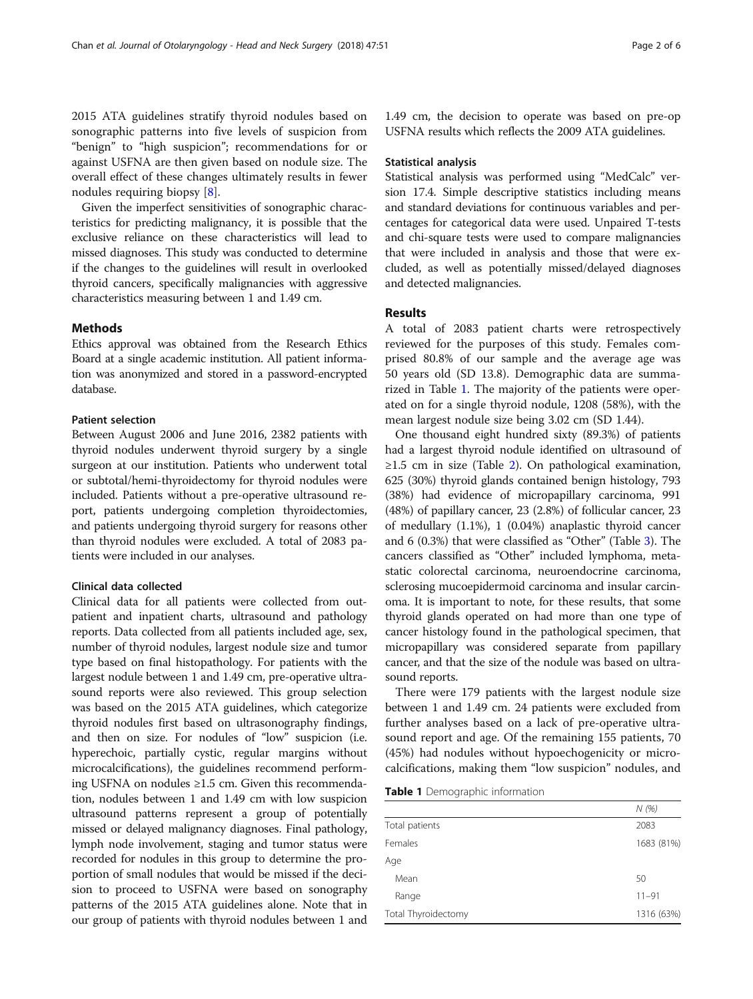2015 ATA guidelines stratify thyroid nodules based on sonographic patterns into five levels of suspicion from "benign" to "high suspicion"; recommendations for or against USFNA are then given based on nodule size. The overall effect of these changes ultimately results in fewer nodules requiring biopsy [\[8](#page-4-0)].

Given the imperfect sensitivities of sonographic characteristics for predicting malignancy, it is possible that the exclusive reliance on these characteristics will lead to missed diagnoses. This study was conducted to determine if the changes to the guidelines will result in overlooked thyroid cancers, specifically malignancies with aggressive characteristics measuring between 1 and 1.49 cm.

#### Methods

Ethics approval was obtained from the Research Ethics Board at a single academic institution. All patient information was anonymized and stored in a password-encrypted database.

## Patient selection

Between August 2006 and June 2016, 2382 patients with thyroid nodules underwent thyroid surgery by a single surgeon at our institution. Patients who underwent total or subtotal/hemi-thyroidectomy for thyroid nodules were included. Patients without a pre-operative ultrasound report, patients undergoing completion thyroidectomies, and patients undergoing thyroid surgery for reasons other than thyroid nodules were excluded. A total of 2083 patients were included in our analyses.

## Clinical data collected

Clinical data for all patients were collected from outpatient and inpatient charts, ultrasound and pathology reports. Data collected from all patients included age, sex, number of thyroid nodules, largest nodule size and tumor type based on final histopathology. For patients with the largest nodule between 1 and 1.49 cm, pre-operative ultrasound reports were also reviewed. This group selection was based on the 2015 ATA guidelines, which categorize thyroid nodules first based on ultrasonography findings, and then on size. For nodules of "low" suspicion (i.e. hyperechoic, partially cystic, regular margins without microcalcifications), the guidelines recommend performing USFNA on nodules ≥1.5 cm. Given this recommendation, nodules between 1 and 1.49 cm with low suspicion ultrasound patterns represent a group of potentially missed or delayed malignancy diagnoses. Final pathology, lymph node involvement, staging and tumor status were recorded for nodules in this group to determine the proportion of small nodules that would be missed if the decision to proceed to USFNA were based on sonography patterns of the 2015 ATA guidelines alone. Note that in our group of patients with thyroid nodules between 1 and

1.49 cm, the decision to operate was based on pre-op USFNA results which reflects the 2009 ATA guidelines.

#### Statistical analysis

Statistical analysis was performed using "MedCalc" version 17.4. Simple descriptive statistics including means and standard deviations for continuous variables and percentages for categorical data were used. Unpaired T-tests and chi-square tests were used to compare malignancies that were included in analysis and those that were excluded, as well as potentially missed/delayed diagnoses and detected malignancies.

#### Results

A total of 2083 patient charts were retrospectively reviewed for the purposes of this study. Females comprised 80.8% of our sample and the average age was 50 years old (SD 13.8). Demographic data are summarized in Table 1. The majority of the patients were operated on for a single thyroid nodule, 1208 (58%), with the mean largest nodule size being 3.02 cm (SD 1.44).

One thousand eight hundred sixty (89.3%) of patients had a largest thyroid nodule identified on ultrasound of  $≥1.5$  cm in size (Table [2\)](#page-2-0). On pathological examination, 625 (30%) thyroid glands contained benign histology, 793 (38%) had evidence of micropapillary carcinoma, 991 (48%) of papillary cancer, 23 (2.8%) of follicular cancer, 23 of medullary (1.1%), 1 (0.04%) anaplastic thyroid cancer and 6 (0.3%) that were classified as "Other" (Table [3](#page-2-0)). The cancers classified as "Other" included lymphoma, metastatic colorectal carcinoma, neuroendocrine carcinoma, sclerosing mucoepidermoid carcinoma and insular carcinoma. It is important to note, for these results, that some thyroid glands operated on had more than one type of cancer histology found in the pathological specimen, that micropapillary was considered separate from papillary cancer, and that the size of the nodule was based on ultrasound reports.

There were 179 patients with the largest nodule size between 1 and 1.49 cm. 24 patients were excluded from further analyses based on a lack of pre-operative ultrasound report and age. Of the remaining 155 patients, 70 (45%) had nodules without hypoechogenicity or microcalcifications, making them "low suspicion" nodules, and

Table 1 Demographic information

|                     | N(%)       |
|---------------------|------------|
| Total patients      | 2083       |
| Females             | 1683 (81%) |
| Age                 |            |
| Mean                | 50         |
| Range               | $11 - 91$  |
| Total Thyroidectomy | 1316 (63%) |
|                     |            |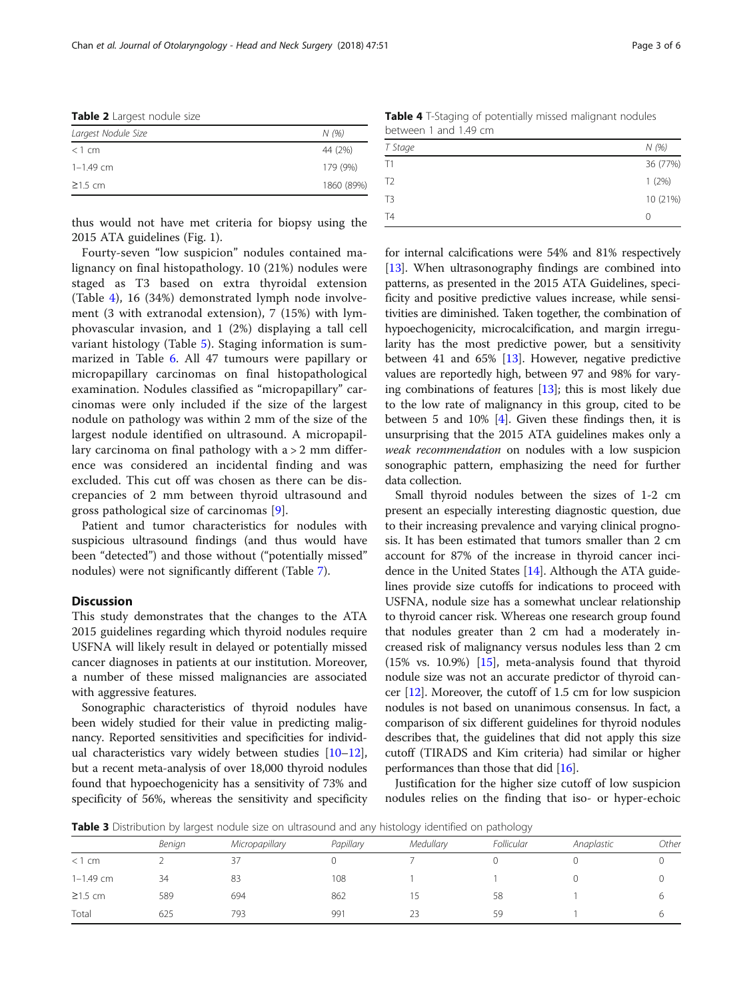<span id="page-2-0"></span>

|  | Table 2 Largest nodule size |  |  |
|--|-----------------------------|--|--|
|--|-----------------------------|--|--|

| N(%)       |
|------------|
| 44 (2%)    |
| 179 (9%)   |
| 1860 (89%) |
|            |

thus would not have met criteria for biopsy using the 2015 ATA guidelines (Fig. 1).

Fourty-seven "low suspicion" nodules contained malignancy on final histopathology. 10 (21%) nodules were staged as T3 based on extra thyroidal extension (Table 4), 16 (34%) demonstrated lymph node involvement (3 with extranodal extension), 7 (15%) with lymphovascular invasion, and 1 (2%) displaying a tall cell variant histology (Table [5\)](#page-3-0). Staging information is summarized in Table [6](#page-3-0). All 47 tumours were papillary or micropapillary carcinomas on final histopathological examination. Nodules classified as "micropapillary" carcinomas were only included if the size of the largest nodule on pathology was within 2 mm of the size of the largest nodule identified on ultrasound. A micropapillary carcinoma on final pathology with a > 2 mm difference was considered an incidental finding and was excluded. This cut off was chosen as there can be discrepancies of 2 mm between thyroid ultrasound and gross pathological size of carcinomas [[9\]](#page-4-0).

Patient and tumor characteristics for nodules with suspicious ultrasound findings (and thus would have been "detected") and those without ("potentially missed" nodules) were not significantly different (Table [7](#page-3-0)).

## **Discussion**

This study demonstrates that the changes to the ATA 2015 guidelines regarding which thyroid nodules require USFNA will likely result in delayed or potentially missed cancer diagnoses in patients at our institution. Moreover, a number of these missed malignancies are associated with aggressive features.

Sonographic characteristics of thyroid nodules have been widely studied for their value in predicting malignancy. Reported sensitivities and specificities for individual characteristics vary widely between studies [\[10](#page-4-0)–[12](#page-4-0)], but a recent meta-analysis of over 18,000 thyroid nodules found that hypoechogenicity has a sensitivity of 73% and specificity of 56%, whereas the sensitivity and specificity

Table 4 T-Staging of potentially missed malignant nodules between 1 and 1.49 cm

| T Stage        | N (%)    |
|----------------|----------|
| T1             | 36 (77%) |
| T <sub>2</sub> | 1(2%)    |
| T3             | 10 (21%) |
| T <sub>4</sub> | 0        |
|                |          |

for internal calcifications were 54% and 81% respectively [[13](#page-4-0)]. When ultrasonography findings are combined into patterns, as presented in the 2015 ATA Guidelines, specificity and positive predictive values increase, while sensitivities are diminished. Taken together, the combination of hypoechogenicity, microcalcification, and margin irregularity has the most predictive power, but a sensitivity between 41 and 65% [\[13\]](#page-4-0). However, negative predictive values are reportedly high, between 97 and 98% for varying combinations of features [[13](#page-4-0)]; this is most likely due to the low rate of malignancy in this group, cited to be between 5 and 10% [\[4](#page-4-0)]. Given these findings then, it is unsurprising that the 2015 ATA guidelines makes only a weak recommendation on nodules with a low suspicion sonographic pattern, emphasizing the need for further data collection.

Small thyroid nodules between the sizes of 1-2 cm present an especially interesting diagnostic question, due to their increasing prevalence and varying clinical prognosis. It has been estimated that tumors smaller than 2 cm account for 87% of the increase in thyroid cancer incidence in the United States [\[14\]](#page-4-0). Although the ATA guidelines provide size cutoffs for indications to proceed with USFNA, nodule size has a somewhat unclear relationship to thyroid cancer risk. Whereas one research group found that nodules greater than 2 cm had a moderately increased risk of malignancy versus nodules less than 2 cm (15% vs. 10.9%) [\[15\]](#page-4-0), meta-analysis found that thyroid nodule size was not an accurate predictor of thyroid cancer [\[12\]](#page-4-0). Moreover, the cutoff of 1.5 cm for low suspicion nodules is not based on unanimous consensus. In fact, a comparison of six different guidelines for thyroid nodules describes that, the guidelines that did not apply this size cutoff (TIRADS and Kim criteria) had similar or higher performances than those that did [\[16\]](#page-4-0).

Justification for the higher size cutoff of low suspicion nodules relies on the finding that iso- or hyper-echoic

Table 3 Distribution by largest nodule size on ultrasound and any histology identified on pathology

|               | Benign | Micropapillary | Papillary | Medullary | Follicular | Anaplastic | Other |
|---------------|--------|----------------|-----------|-----------|------------|------------|-------|
| $<$ 1 cm      |        | 37             |           |           |            |            |       |
| $1 - 1.49$ cm | 34     | 83             | 108       |           |            |            |       |
| $\geq$ 1.5 cm | 589    | 694            | 862       |           | 58         |            |       |
| Total         | 625    | 793            | 991       | 23        | 59         |            |       |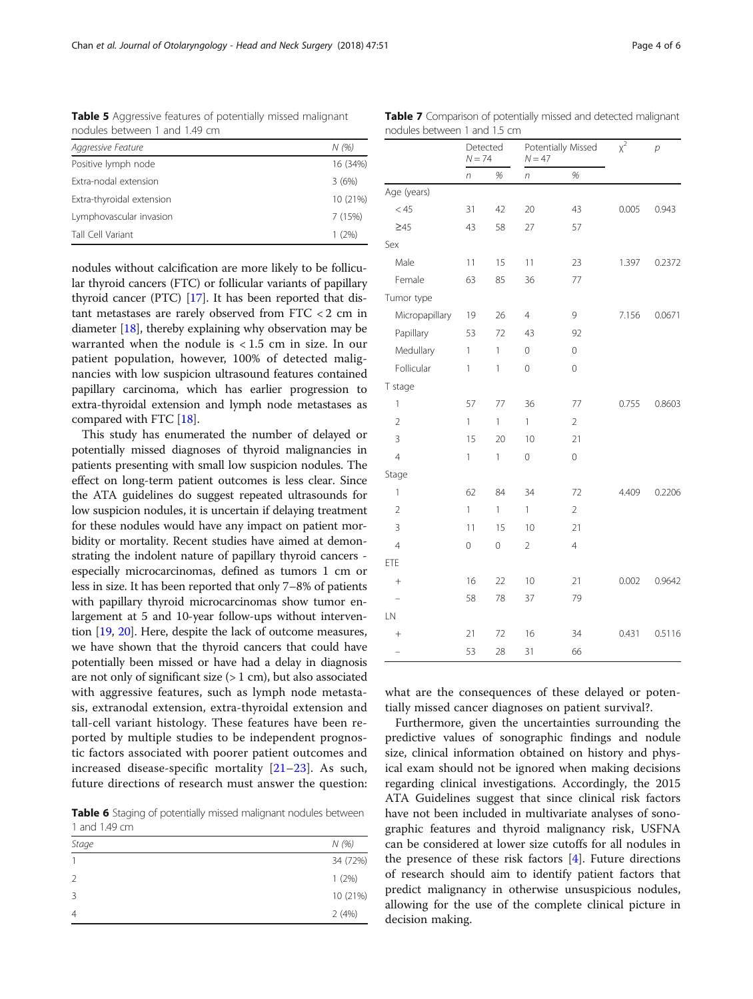<span id="page-3-0"></span>Table 5 Aggressive features of potentially missed malignant nodules between 1 and 1.49 cm

| Aggressive Feature        | N(%)     |
|---------------------------|----------|
| Positive lymph node       | 16 (34%) |
| Extra-nodal extension     | 3(6%)    |
| Extra-thyroidal extension | 10 (21%) |
| Lymphovascular invasion   | 7(15%)   |
| Tall Cell Variant         | 1(2%)    |

nodules without calcification are more likely to be follicular thyroid cancers (FTC) or follicular variants of papillary thyroid cancer (PTC) [\[17\]](#page-4-0). It has been reported that distant metastases are rarely observed from FTC < 2 cm in diameter [\[18\]](#page-4-0), thereby explaining why observation may be warranted when the nodule is < 1.5 cm in size. In our patient population, however, 100% of detected malignancies with low suspicion ultrasound features contained papillary carcinoma, which has earlier progression to extra-thyroidal extension and lymph node metastases as compared with FTC [\[18\]](#page-4-0).

This study has enumerated the number of delayed or potentially missed diagnoses of thyroid malignancies in patients presenting with small low suspicion nodules. The effect on long-term patient outcomes is less clear. Since the ATA guidelines do suggest repeated ultrasounds for low suspicion nodules, it is uncertain if delaying treatment for these nodules would have any impact on patient morbidity or mortality. Recent studies have aimed at demonstrating the indolent nature of papillary thyroid cancers especially microcarcinomas, defined as tumors 1 cm or less in size. It has been reported that only 7–8% of patients with papillary thyroid microcarcinomas show tumor enlargement at 5 and 10-year follow-ups without intervention [[19](#page-4-0), [20](#page-4-0)]. Here, despite the lack of outcome measures, we have shown that the thyroid cancers that could have potentially been missed or have had a delay in diagnosis are not only of significant size (> 1 cm), but also associated with aggressive features, such as lymph node metastasis, extranodal extension, extra-thyroidal extension and tall-cell variant histology. These features have been reported by multiple studies to be independent prognostic factors associated with poorer patient outcomes and increased disease-specific mortality [\[21](#page-4-0)–[23](#page-5-0)]. As such, future directions of research must answer the question:

Table 6 Staging of potentially missed malignant nodules between 1 and 1.49 cm

| Stage         | N(%)     |
|---------------|----------|
|               | 34 (72%) |
| $\mathcal{P}$ | $1(2\%)$ |
| Β             | 10 (21%) |
| 4             | 2(4%)    |
|               |          |

Table 7 Comparison of potentially missed and detected malignant nodules between 1 and 1.5 cm

|                |             | Detected<br>$N = 74$ |                | Potentially Missed<br>$N = 47$ |       | р      |
|----------------|-------------|----------------------|----------------|--------------------------------|-------|--------|
|                | n           | %                    | n              | %                              |       |        |
| Age (years)    |             |                      |                |                                |       |        |
| < 45           | 31          | 42                   | 20             | 43                             | 0.005 | 0.943  |
| $\geq 45$      | 43          | 58                   | 27             | 57                             |       |        |
| Sex            |             |                      |                |                                |       |        |
| Male           | 11          | 15                   | 11             | 23                             | 1.397 | 0.2372 |
| Female         | 63          | 85                   | 36             | 77                             |       |        |
| Tumor type     |             |                      |                |                                |       |        |
| Micropapillary | 19          | 26                   | $\overline{4}$ | 9                              | 7.156 | 0.0671 |
| Papillary      | 53          | 72                   | 43             | 92                             |       |        |
| Medullary      | 1           | $\mathbf{1}$         | 0              | 0                              |       |        |
| Follicular     | 1           | 1                    | $\mathbf 0$    | 0                              |       |        |
| T stage        |             |                      |                |                                |       |        |
| $\mathbf{1}$   | 57          | 77                   | 36             | 77                             | 0.755 | 0.8603 |
| $\overline{2}$ | 1           | $\mathbf{1}$         | 1              | $\overline{2}$                 |       |        |
| $\overline{3}$ | 15          | 20                   | 10             | 21                             |       |        |
| $\overline{4}$ | 1           | 1                    | 0              | 0                              |       |        |
| Stage          |             |                      |                |                                |       |        |
| $\mathbf{1}$   | 62          | 84                   | 34             | 72                             | 4.409 | 0.2206 |
| $\overline{2}$ | 1           | $\mathbf{1}$         | 1              | $\overline{2}$                 |       |        |
| 3              | 11          | 15                   | 10             | 21                             |       |        |
| $\overline{4}$ | $\mathbf 0$ | $\mathbf 0$          | $\overline{2}$ | $\overline{4}$                 |       |        |
| ETE            |             |                      |                |                                |       |        |
| $^{+}$         | 16          | 22                   | 10             | 21                             | 0.002 | 0.9642 |
|                | 58          | 78                   | 37             | 79                             |       |        |
| LN.            |             |                      |                |                                |       |        |
| $^{+}$         | 21          | 72                   | 16             | 34                             | 0.431 | 0.5116 |
|                | 53          | 28                   | 31             | 66                             |       |        |

what are the consequences of these delayed or potentially missed cancer diagnoses on patient survival?.

Furthermore, given the uncertainties surrounding the predictive values of sonographic findings and nodule size, clinical information obtained on history and physical exam should not be ignored when making decisions regarding clinical investigations. Accordingly, the 2015 ATA Guidelines suggest that since clinical risk factors have not been included in multivariate analyses of sonographic features and thyroid malignancy risk, USFNA can be considered at lower size cutoffs for all nodules in the presence of these risk factors [[4\]](#page-4-0). Future directions of research should aim to identify patient factors that predict malignancy in otherwise unsuspicious nodules, allowing for the use of the complete clinical picture in decision making.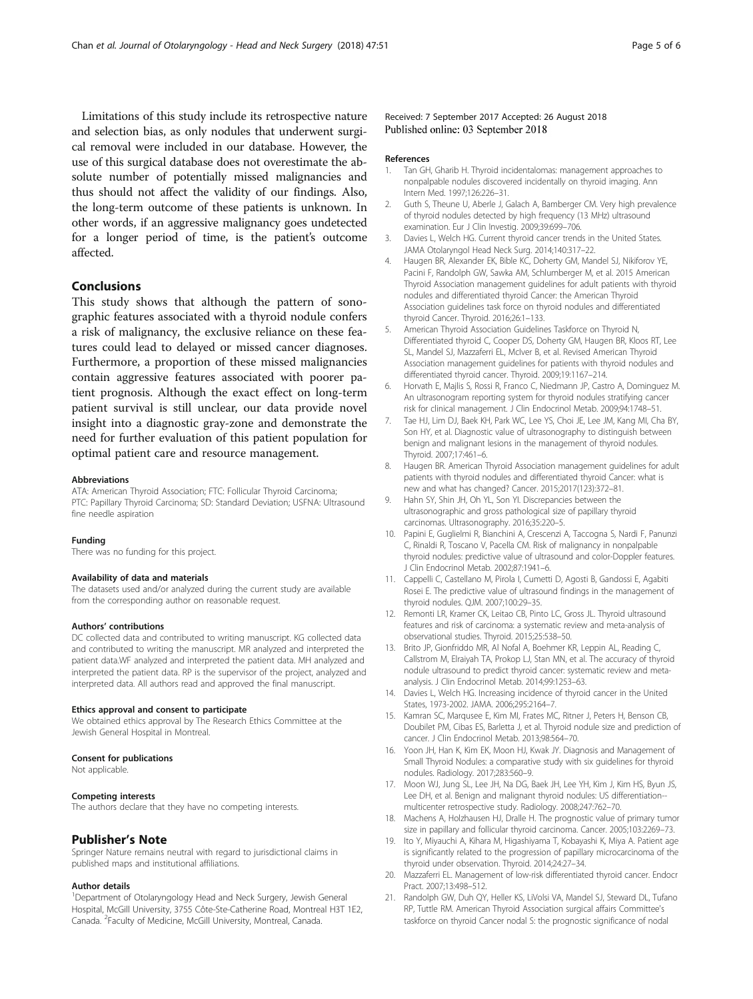<span id="page-4-0"></span>Limitations of this study include its retrospective nature and selection bias, as only nodules that underwent surgical removal were included in our database. However, the use of this surgical database does not overestimate the absolute number of potentially missed malignancies and thus should not affect the validity of our findings. Also, the long-term outcome of these patients is unknown. In other words, if an aggressive malignancy goes undetected for a longer period of time, is the patient's outcome affected.

#### Conclusions

This study shows that although the pattern of sonographic features associated with a thyroid nodule confers a risk of malignancy, the exclusive reliance on these features could lead to delayed or missed cancer diagnoses. Furthermore, a proportion of these missed malignancies contain aggressive features associated with poorer patient prognosis. Although the exact effect on long-term patient survival is still unclear, our data provide novel insight into a diagnostic gray-zone and demonstrate the need for further evaluation of this patient population for optimal patient care and resource management.

#### **Abbreviations**

ATA: American Thyroid Association; FTC: Follicular Thyroid Carcinoma; PTC: Papillary Thyroid Carcinoma; SD: Standard Deviation; USFNA: Ultrasound fine needle aspiration

#### Funding

There was no funding for this project.

#### Availability of data and materials

The datasets used and/or analyzed during the current study are available from the corresponding author on reasonable request.

#### Authors' contributions

DC collected data and contributed to writing manuscript. KG collected data and contributed to writing the manuscript. MR analyzed and interpreted the patient data.WF analyzed and interpreted the patient data. MH analyzed and interpreted the patient data. RP is the supervisor of the project, analyzed and interpreted data. All authors read and approved the final manuscript.

#### Ethics approval and consent to participate

We obtained ethics approval by The Research Ethics Committee at the Jewish General Hospital in Montreal.

#### Consent for publications

Not applicable.

#### Competing interests

The authors declare that they have no competing interests.

## Publisher's Note

Springer Nature remains neutral with regard to jurisdictional claims in published maps and institutional affiliations.

#### Author details

<sup>1</sup>Department of Otolaryngology Head and Neck Surgery, Jewish General Hospital, McGill University, 3755 Côte-Ste-Catherine Road, Montreal H3T 1E2, Canada. <sup>2</sup> Faculty of Medicine, McGill University, Montreal, Canada.

#### Received: 7 September 2017 Accepted: 26 August 2018 Published online: 03 September 2018

#### References

- 1. Tan GH, Gharib H. Thyroid incidentalomas: management approaches to nonpalpable nodules discovered incidentally on thyroid imaging. Ann Intern Med. 1997;126:226–31.
- 2. Guth S, Theune U, Aberle J, Galach A, Bamberger CM. Very high prevalence of thyroid nodules detected by high frequency (13 MHz) ultrasound examination. Eur J Clin Investig. 2009;39:699–706.
- 3. Davies L, Welch HG. Current thyroid cancer trends in the United States. JAMA Otolaryngol Head Neck Surg. 2014;140:317–22.
- 4. Haugen BR, Alexander EK, Bible KC, Doherty GM, Mandel SJ, Nikiforov YE, Pacini F, Randolph GW, Sawka AM, Schlumberger M, et al. 2015 American Thyroid Association management guidelines for adult patients with thyroid nodules and differentiated thyroid Cancer: the American Thyroid Association guidelines task force on thyroid nodules and differentiated thyroid Cancer. Thyroid. 2016;26:1–133.
- 5. American Thyroid Association Guidelines Taskforce on Thyroid N, Differentiated thyroid C, Cooper DS, Doherty GM, Haugen BR, Kloos RT, Lee SL, Mandel SJ, Mazzaferri EL, McIver B, et al. Revised American Thyroid Association management guidelines for patients with thyroid nodules and differentiated thyroid cancer. Thyroid. 2009;19:1167–214.
- 6. Horvath E, Majlis S, Rossi R, Franco C, Niedmann JP, Castro A, Dominguez M. An ultrasonogram reporting system for thyroid nodules stratifying cancer risk for clinical management. J Clin Endocrinol Metab. 2009;94:1748–51.
- 7. Tae HJ, Lim DJ, Baek KH, Park WC, Lee YS, Choi JE, Lee JM, Kang MI, Cha BY, Son HY, et al. Diagnostic value of ultrasonography to distinguish between benign and malignant lesions in the management of thyroid nodules. Thyroid. 2007;17:461–6.
- 8. Haugen BR. American Thyroid Association management guidelines for adult patients with thyroid nodules and differentiated thyroid Cancer: what is new and what has changed? Cancer. 2015;2017(123):372–81.
- 9. Hahn SY, Shin JH, Oh YL, Son YI. Discrepancies between the ultrasonographic and gross pathological size of papillary thyroid carcinomas. Ultrasonography. 2016;35:220–5.
- 10. Papini E, Guglielmi R, Bianchini A, Crescenzi A, Taccogna S, Nardi F, Panunzi C, Rinaldi R, Toscano V, Pacella CM. Risk of malignancy in nonpalpable thyroid nodules: predictive value of ultrasound and color-Doppler features. J Clin Endocrinol Metab. 2002;87:1941–6.
- 11. Cappelli C, Castellano M, Pirola I, Cumetti D, Agosti B, Gandossi E, Agabiti Rosei E. The predictive value of ultrasound findings in the management of thyroid nodules. QJM. 2007;100:29–35.
- 12. Remonti LR, Kramer CK, Leitao CB, Pinto LC, Gross JL. Thyroid ultrasound features and risk of carcinoma: a systematic review and meta-analysis of observational studies. Thyroid. 2015;25:538–50.
- 13. Brito JP, Gionfriddo MR, Al Nofal A, Boehmer KR, Leppin AL, Reading C, Callstrom M, Elraiyah TA, Prokop LJ, Stan MN, et al. The accuracy of thyroid nodule ultrasound to predict thyroid cancer: systematic review and metaanalysis. J Clin Endocrinol Metab. 2014;99:1253–63.
- 14. Davies L, Welch HG. Increasing incidence of thyroid cancer in the United States, 1973-2002. JAMA. 2006;295:2164–7.
- 15. Kamran SC, Marqusee E, Kim MI, Frates MC, Ritner J, Peters H, Benson CB, Doubilet PM, Cibas ES, Barletta J, et al. Thyroid nodule size and prediction of cancer. J Clin Endocrinol Metab. 2013;98:564–70.
- 16. Yoon JH, Han K, Kim EK, Moon HJ, Kwak JY. Diagnosis and Management of Small Thyroid Nodules: a comparative study with six guidelines for thyroid nodules. Radiology. 2017;283:560–9.
- 17. Moon WJ, Jung SL, Lee JH, Na DG, Baek JH, Lee YH, Kim J, Kim HS, Byun JS, Lee DH, et al. Benign and malignant thyroid nodules: US differentiation- multicenter retrospective study. Radiology. 2008;247:762–70.
- 18. Machens A, Holzhausen HJ, Dralle H. The prognostic value of primary tumor size in papillary and follicular thyroid carcinoma. Cancer. 2005;103:2269–73.
- 19. Ito Y, Miyauchi A, Kihara M, Higashiyama T, Kobayashi K, Miya A. Patient age is significantly related to the progression of papillary microcarcinoma of the thyroid under observation. Thyroid. 2014;24:27–34.
- 20. Mazzaferri EL. Management of low-risk differentiated thyroid cancer. Endocr Pract. 2007;13:498–512.
- 21. Randolph GW, Duh QY, Heller KS, LiVolsi VA, Mandel SJ, Steward DL, Tufano RP, Tuttle RM. American Thyroid Association surgical affairs Committee's taskforce on thyroid Cancer nodal S: the prognostic significance of nodal